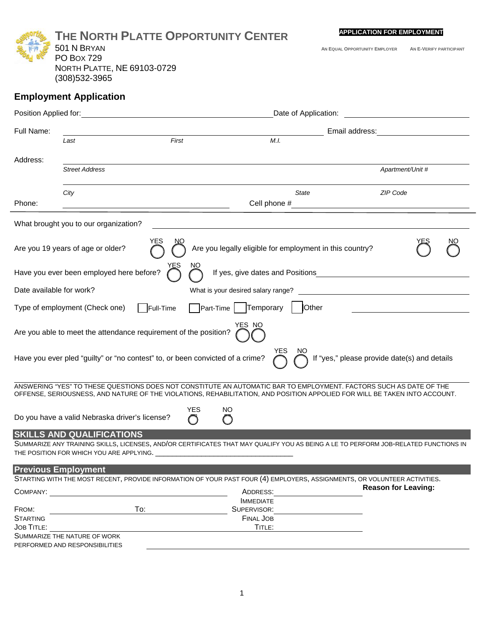|                   | THE NORTH PLATTE OPPORTUNITY CENTER                                           |                   |                                                                                                                                                                                                                                                 | <b>APPLICATION FOR EMPLOYMENT</b>                                                                                                                       |                         |  |
|-------------------|-------------------------------------------------------------------------------|-------------------|-------------------------------------------------------------------------------------------------------------------------------------------------------------------------------------------------------------------------------------------------|---------------------------------------------------------------------------------------------------------------------------------------------------------|-------------------------|--|
|                   | 501 N BRYAN                                                                   |                   |                                                                                                                                                                                                                                                 | AN EQUAL OPPORTUNITY EMPLOYER                                                                                                                           | AN E-VERIFY PARTICIPANT |  |
|                   | <b>PO Box 729</b>                                                             |                   |                                                                                                                                                                                                                                                 |                                                                                                                                                         |                         |  |
|                   | <b>NORTH PLATTE, NE 69103-0729</b>                                            |                   |                                                                                                                                                                                                                                                 |                                                                                                                                                         |                         |  |
|                   | (308) 532-3965                                                                |                   |                                                                                                                                                                                                                                                 |                                                                                                                                                         |                         |  |
|                   | <b>Employment Application</b>                                                 |                   |                                                                                                                                                                                                                                                 |                                                                                                                                                         |                         |  |
|                   |                                                                               |                   |                                                                                                                                                                                                                                                 |                                                                                                                                                         |                         |  |
| Full Name:        |                                                                               |                   |                                                                                                                                                                                                                                                 |                                                                                                                                                         |                         |  |
|                   | Last                                                                          | First             | M.I.                                                                                                                                                                                                                                            |                                                                                                                                                         |                         |  |
| Address:          |                                                                               |                   |                                                                                                                                                                                                                                                 |                                                                                                                                                         |                         |  |
|                   | <b>Street Address</b>                                                         |                   |                                                                                                                                                                                                                                                 |                                                                                                                                                         | Apartment/Unit #        |  |
|                   |                                                                               |                   |                                                                                                                                                                                                                                                 |                                                                                                                                                         |                         |  |
| Phone:            | City                                                                          |                   | State<br>Cell phone #                                                                                                                                                                                                                           | ZIP Code                                                                                                                                                |                         |  |
|                   |                                                                               |                   |                                                                                                                                                                                                                                                 |                                                                                                                                                         |                         |  |
|                   | What brought you to our organization?                                         |                   |                                                                                                                                                                                                                                                 |                                                                                                                                                         |                         |  |
|                   |                                                                               | YES<br>NΟ         |                                                                                                                                                                                                                                                 |                                                                                                                                                         |                         |  |
|                   | Are you 19 years of age or older?                                             |                   | Are you legally eligible for employment in this country?                                                                                                                                                                                        |                                                                                                                                                         |                         |  |
|                   | Have you ever been employed here before?                                      |                   | If yes, give dates and Positions                                                                                                                                                                                                                |                                                                                                                                                         |                         |  |
|                   | Date available for work?                                                      |                   | What is your desired salary range?                                                                                                                                                                                                              | <u> 1989 - Jan Barnett, fransk politiker (d. 1989)</u>                                                                                                  |                         |  |
|                   | Type of employment (Check one)                                                | $\vert$ Full-Time | Part-Time   Temporary<br>Other                                                                                                                                                                                                                  |                                                                                                                                                         |                         |  |
|                   | Are you able to meet the attendance requirement of the position?              |                   | YES NO                                                                                                                                                                                                                                          |                                                                                                                                                         |                         |  |
|                   |                                                                               |                   |                                                                                                                                                                                                                                                 |                                                                                                                                                         |                         |  |
|                   | Have you ever pled "guilty" or "no contest" to, or been convicted of a crime? |                   | YES<br>NO.                                                                                                                                                                                                                                      | If "yes," please provide date(s) and details                                                                                                            |                         |  |
|                   |                                                                               |                   |                                                                                                                                                                                                                                                 |                                                                                                                                                         |                         |  |
|                   |                                                                               |                   | ANSWERING "YES" TO THESE QUESTIONS DOES NOT CONSTITUTE AN AUTOMATIC BAR TO EMPLOYMENT. FACTORS SUCH AS DATE OF THE<br>OFFENSE, SERIOUSNESS, AND NATURE OF THE VIOLATIONS, REHABILITATION, AND POSITION APPOLIED FOR WILL BE TAKEN INTO ACCOUNT. |                                                                                                                                                         |                         |  |
|                   |                                                                               | <b>YES</b>        | NO                                                                                                                                                                                                                                              |                                                                                                                                                         |                         |  |
|                   | Do you have a valid Nebraska driver's license?                                | ∩                 | O                                                                                                                                                                                                                                               |                                                                                                                                                         |                         |  |
|                   | <b>SKILLS AND QUALIFICATIONS</b>                                              |                   |                                                                                                                                                                                                                                                 |                                                                                                                                                         |                         |  |
|                   |                                                                               |                   | SUMMARIZE ANY TRAINING SKILLS, LICENSES, AND/OR CERTIFICATES THAT MAY QUALIFY YOU AS BEING A LE TO PERFORM JOB-RELATED FUNCTIONS IN                                                                                                             |                                                                                                                                                         |                         |  |
|                   |                                                                               |                   |                                                                                                                                                                                                                                                 |                                                                                                                                                         |                         |  |
|                   | <b>Previous Employment</b>                                                    |                   |                                                                                                                                                                                                                                                 |                                                                                                                                                         |                         |  |
|                   |                                                                               |                   |                                                                                                                                                                                                                                                 | STARTING WITH THE MOST RECENT, PROVIDE INFORMATION OF YOUR PAST FOUR (4) EMPLOYERS, ASSIGNMENTS, OR VOLUNTEER ACTIVITIES.<br><b>Reason for Leaving:</b> |                         |  |
| COMPANY:          |                                                                               |                   | ADDRESS:<br><b>IMMEDIATE</b>                                                                                                                                                                                                                    |                                                                                                                                                         |                         |  |
| FROM:             | To:                                                                           |                   | SUPERVISOR:                                                                                                                                                                                                                                     |                                                                                                                                                         |                         |  |
| <b>STARTING</b>   |                                                                               |                   | <b>FINAL JOB</b>                                                                                                                                                                                                                                |                                                                                                                                                         |                         |  |
| <b>JOB TITLE:</b> |                                                                               |                   | TITLE:                                                                                                                                                                                                                                          |                                                                                                                                                         |                         |  |
|                   | SUMMARIZE THE NATURE OF WORK<br>PERFORMED AND RESPONSIBILITIES                |                   |                                                                                                                                                                                                                                                 |                                                                                                                                                         |                         |  |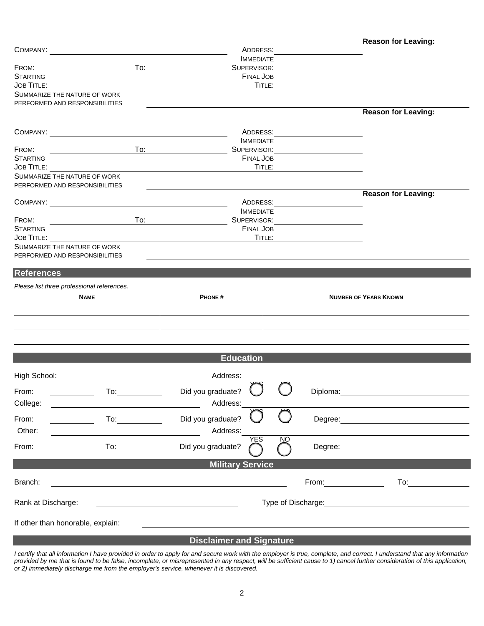| COMPANY:                                                       |                                                                                                                                                                                                                                | ADDRESS:                                                   |                |                       |                              |  |  |
|----------------------------------------------------------------|--------------------------------------------------------------------------------------------------------------------------------------------------------------------------------------------------------------------------------|------------------------------------------------------------|----------------|-----------------------|------------------------------|--|--|
|                                                                |                                                                                                                                                                                                                                | <b>IMMEDIATE</b><br>SUPERVISOR:                            |                |                       |                              |  |  |
| FROM:<br><b>STARTING</b>                                       | To:                                                                                                                                                                                                                            |                                                            |                |                       |                              |  |  |
| <b>JOB TITLE:</b>                                              |                                                                                                                                                                                                                                | <b>FINAL JOB</b><br>TITLE:                                 |                |                       |                              |  |  |
| SUMMARIZE THE NATURE OF WORK                                   |                                                                                                                                                                                                                                |                                                            |                |                       |                              |  |  |
| PERFORMED AND RESPONSIBILITIES                                 |                                                                                                                                                                                                                                |                                                            |                |                       | <b>Reason for Leaving:</b>   |  |  |
|                                                                |                                                                                                                                                                                                                                |                                                            |                |                       |                              |  |  |
| COMPANY:                                                       |                                                                                                                                                                                                                                | ADDRESS:                                                   |                |                       |                              |  |  |
|                                                                | <b>IMMEDIATE</b>                                                                                                                                                                                                               |                                                            |                |                       |                              |  |  |
| FROM:                                                          | To:                                                                                                                                                                                                                            | SUPERVISOR:                                                |                |                       |                              |  |  |
| <b>STARTING</b><br><b>JOB TITLE:</b>                           |                                                                                                                                                                                                                                | <b>FINAL JOB</b><br>TITLE:                                 |                |                       |                              |  |  |
| SUMMARIZE THE NATURE OF WORK                                   |                                                                                                                                                                                                                                |                                                            |                |                       |                              |  |  |
| PERFORMED AND RESPONSIBILITIES                                 |                                                                                                                                                                                                                                |                                                            |                |                       |                              |  |  |
|                                                                |                                                                                                                                                                                                                                |                                                            |                |                       | <b>Reason for Leaving:</b>   |  |  |
| COMPANY:                                                       |                                                                                                                                                                                                                                | ADDRESS:<br><b>IMMEDIATE</b>                               |                |                       |                              |  |  |
| FROM:                                                          | To:                                                                                                                                                                                                                            | SUPERVISOR:                                                |                |                       |                              |  |  |
| <b>STARTING</b>                                                |                                                                                                                                                                                                                                | <b>FINAL JOB</b>                                           |                |                       |                              |  |  |
| <b>JOB TITLE:</b>                                              |                                                                                                                                                                                                                                |                                                            | TITLE:         |                       |                              |  |  |
| SUMMARIZE THE NATURE OF WORK<br>PERFORMED AND RESPONSIBILITIES |                                                                                                                                                                                                                                |                                                            |                |                       |                              |  |  |
|                                                                |                                                                                                                                                                                                                                |                                                            |                |                       |                              |  |  |
| <b>References</b>                                              |                                                                                                                                                                                                                                |                                                            |                |                       |                              |  |  |
| Please list three professional references.                     |                                                                                                                                                                                                                                |                                                            |                |                       |                              |  |  |
| <b>NAME</b>                                                    |                                                                                                                                                                                                                                | PHONE#                                                     |                |                       | <b>NUMBER OF YEARS KNOWN</b> |  |  |
|                                                                |                                                                                                                                                                                                                                |                                                            |                |                       |                              |  |  |
|                                                                |                                                                                                                                                                                                                                |                                                            |                |                       |                              |  |  |
|                                                                |                                                                                                                                                                                                                                |                                                            |                |                       |                              |  |  |
|                                                                |                                                                                                                                                                                                                                |                                                            |                |                       |                              |  |  |
|                                                                |                                                                                                                                                                                                                                | <b>Education</b>                                           |                |                       |                              |  |  |
|                                                                |                                                                                                                                                                                                                                |                                                            |                |                       |                              |  |  |
| High School:                                                   |                                                                                                                                                                                                                                | Address:                                                   |                |                       |                              |  |  |
| From:<br>To:                                                   |                                                                                                                                                                                                                                | Did you graduate?                                          |                | Diploma:              |                              |  |  |
| College:                                                       |                                                                                                                                                                                                                                | Address:                                                   |                |                       |                              |  |  |
|                                                                |                                                                                                                                                                                                                                |                                                            |                |                       |                              |  |  |
| From:                                                          | To: the contract of the contract of the contract of the contract of the contract of the contract of the contract of the contract of the contract of the contract of the contract of the contract of the contract of the contra | Did you graduate?                                          |                | Degree:               |                              |  |  |
| Other:                                                         |                                                                                                                                                                                                                                | Address:                                                   |                |                       |                              |  |  |
| From:                                                          | To: the contract of the contract of the contract of the contract of the contract of the contract of the contract of the contract of the contract of the contract of the contract of the contract of the contract of the contra | <b>YES</b><br>Did you graduate?                            | N <sub>O</sub> | Degree:               |                              |  |  |
|                                                                |                                                                                                                                                                                                                                |                                                            |                |                       |                              |  |  |
|                                                                |                                                                                                                                                                                                                                | <b>Military Service</b>                                    |                |                       |                              |  |  |
| Branch:                                                        |                                                                                                                                                                                                                                |                                                            |                | From: $\qquad \qquad$ | To:                          |  |  |
|                                                                |                                                                                                                                                                                                                                |                                                            |                |                       |                              |  |  |
| Rank at Discharge:<br>Type of Discharge: Type of Discharge:    |                                                                                                                                                                                                                                |                                                            |                |                       |                              |  |  |
|                                                                |                                                                                                                                                                                                                                |                                                            |                |                       |                              |  |  |
|                                                                |                                                                                                                                                                                                                                |                                                            |                |                       |                              |  |  |
| If other than honorable, explain:                              |                                                                                                                                                                                                                                | <u> 1989 - John Stein, Amerikaansk politiker (</u> † 1920) |                |                       |                              |  |  |

## **Disclaimer and Signature**

*I certify that all information I have provided in order to apply for and secure work with the employer is true, complete, and correct. I understand that any information provided by me that is found to be false, incomplete, or misrepresented in any respect, will be sufficient cause to 1) cancel further consideration of this application, or 2) immediately discharge me from the employer's service, whenever it is discovered.*